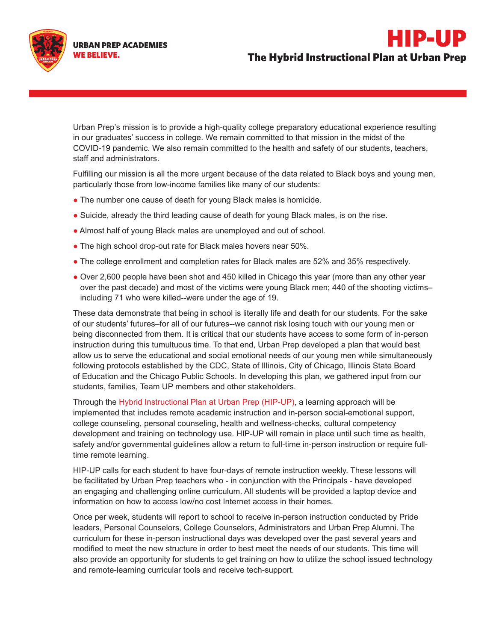The Hybrid Instructional Plan at Urban Prep

HIP-UP



Urban Prep's mission is to provide a high-quality college preparatory educational experience resulting in our graduates' success in college. We remain committed to that mission in the midst of the COVID-19 pandemic. We also remain committed to the health and safety of our students, teachers, staff and administrators.

Fulfilling our mission is all the more urgent because of the data related to Black boys and young men, particularly those from low-income families like many of our students:

- The number one cause of death for young Black males is homicide.
- Suicide, already the third leading cause of death for young Black males, is on the rise.
- Almost half of young Black males are unemployed and out of school.
- The high school drop-out rate for Black males hovers near 50%.
- The college enrollment and completion rates for Black males are 52% and 35% respectively.
- Over 2,600 people have been shot and 450 killed in Chicago this year (more than any other year over the past decade) and most of the victims were young Black men; 440 of the shooting victims– including 71 who were killed--were under the age of 19.

These data demonstrate that being in school is literally life and death for our students. For the sake of our students' futures–for all of our futures--we cannot risk losing touch with our young men or being disconnected from them. It is critical that our students have access to some form of in-person instruction during this tumultuous time. To that end, Urban Prep developed a plan that would best allow us to serve the educational and social emotional needs of our young men while simultaneously following protocols established by the CDC, State of Illinois, City of Chicago, Illinois State Board of Education and the Chicago Public Schools. In developing this plan, we gathered input from our students, families, Team UP members and other stakeholders.

Through the Hybrid Instructional Plan at Urban Prep (HIP-UP), a learning approach will be implemented that includes remote academic instruction and in-person social-emotional support, college counseling, personal counseling, health and wellness-checks, cultural competency development and training on technology use. HIP-UP will remain in place until such time as health, safety and/or governmental guidelines allow a return to full-time in-person instruction or require fulltime remote learning.

HIP-UP calls for each student to have four-days of remote instruction weekly. These lessons will be facilitated by Urban Prep teachers who - in conjunction with the Principals - have developed an engaging and challenging online curriculum. All students will be provided a laptop device and information on how to access low/no cost Internet access in their homes.

Once per week, students will report to school to receive in-person instruction conducted by Pride leaders, Personal Counselors, College Counselors, Administrators and Urban Prep Alumni. The curriculum for these in-person instructional days was developed over the past several years and modified to meet the new structure in order to best meet the needs of our students. This time will also provide an opportunity for students to get training on how to utilize the school issued technology and remote-learning curricular tools and receive tech-support.